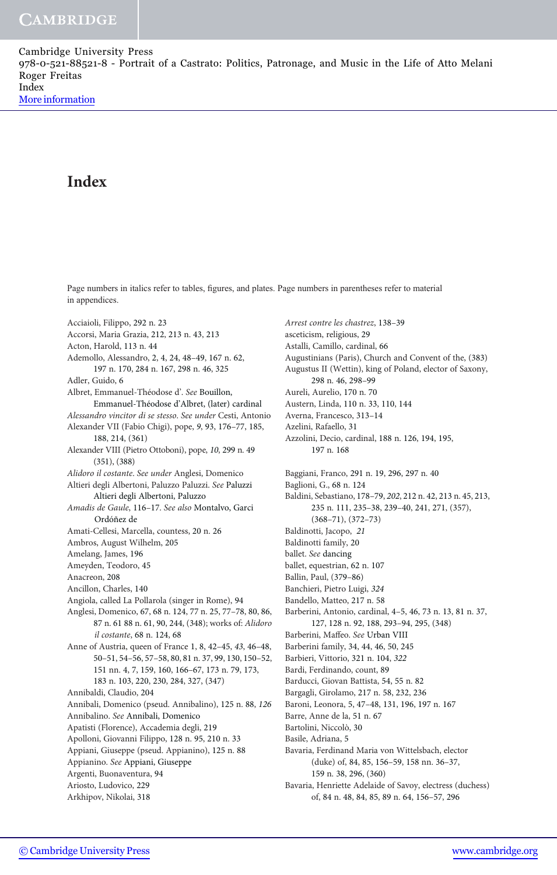# Index

Page numbers in italics refer to tables, figures, and plates. Page numbers in parentheses refer to material in appendices.

Acciaioli, Filippo, 292 n. 23 Accorsi, Maria Grazia, 212, 213 n. 43, 213 Acton, Harold, 113 n. 44 Ademollo, Alessandro, 2, 4, 24, 48–49, 167 n. 62, 197 n. 170, 284 n. 167, 298 n. 46, 325 Adler, Guido, 6 Albret, Emmanuel-Théodose d'. See Bouillon, Emmanuel-Théodose d'Albret, (later) cardinal Alessandro vincitor di se stesso. See under Cesti, Antonio Alexander VII (Fabio Chigi), pope, 9, 93, 176–77, 185, 188, 214, (361) Alexander VIII (Pietro Ottoboni), pope, 10, 299 n. 49 (351), (388) Alidoro il costante. See under Anglesi, Domenico Altieri degli Albertoni, Paluzzo Paluzzi. See Paluzzi Altieri degli Albertoni, Paluzzo Amadis de Gaule, 116–17. See also Montalvo, Garci Ordóñez de Amati-Cellesi, Marcella, countess, 20 n. 26 Ambros, August Wilhelm, 205 Amelang, James, 196 Ameyden, Teodoro, 45 Anacreon, 208 Ancillon, Charles, 140 Angiola, called La Pollarola (singer in Rome), 94 Anglesi, Domenico, 67, 68 n. 124, 77 n. 25, 77–78, 80, 86, 87 n. 61 88 n. 61, 90, 244, (348); works of: Alidoro il costante, 68 n. 124, 68 Anne of Austria, queen of France 1, 8, 42–45, 43, 46–48, 50–51, 54–56, 57–58, 80, 81 n. 37, 99, 130, 150–52, 151 nn. 4, 7, 159, 160, 166–67, 173 n. 79, 173, 183 n. 103, 220, 230, 284, 327, (347) Annibaldi, Claudio, 204 Annibali, Domenico (pseud. Annibalino), 125 n. 88, 126 Annibalino. See Annibali, Domenico Apatisti (Florence), Accademia degli, 219 Apolloni, Giovanni Filippo, 128 n. 95, 210 n. 33 Appiani, Giuseppe (pseud. Appianino), 125 n. 88 Appianino. See Appiani, Giuseppe Argenti, Buonaventura, 94 Ariosto, Ludovico, 229 Arkhipov, Nikolai, 318

Arrest contre les chastrez, 138–39 asceticism, religious, 29 Astalli, Camillo, cardinal, 66 Augustinians (Paris), Church and Convent of the, (383) Augustus II (Wettin), king of Poland, elector of Saxony, 298 n. 46, 298–99 Aureli, Aurelio, 170 n. 70 Austern, Linda, 110 n. 33, 110, 144 Averna, Francesco, 313–14 Azelini, Rafaello, 31 Azzolini, Decio, cardinal, 188 n. 126, 194, 195, 197 n. 168 Baggiani, Franco, 291 n. 19, 296, 297 n. 40 Baglioni, G., 68 n. 124 Baldini, Sebastiano, 178–79, 202, 212 n. 42, 213 n. 45, 213, 235 n. 111, 235–38, 239–40, 241, 271, (357), (368–71), (372–73) Baldinotti, Jacopo, 21 Baldinotti family, 20 ballet. See dancing ballet, equestrian, 62 n. 107 Ballin, Paul, (379–86) Banchieri, Pietro Luigi, 324 Bandello, Matteo, 217 n. 58 Barberini, Antonio, cardinal, 4–5, 46, 73 n. 13, 81 n. 37, 127, 128 n. 92, 188, 293–94, 295, (348) Barberini, Maffeo. See Urban VIII Barberini family, 34, 44, 46, 50, 245 Barbieri, Vittorio, 321 n. 104, 322 Bardi, Ferdinando, count, 89 Barducci, Giovan Battista, 54, 55 n. 82 Bargagli, Girolamo, 217 n. 58, 232, 236 Baroni, Leonora, 5, 47–48, 131, 196, 197 n. 167 Barre, Anne de la, 51 n. 67 Bartolini, Niccolò, 30 Basile, Adriana, 5 Bavaria, Ferdinand Maria von Wittelsbach, elector (duke) of, 84, 85, 156–59, 158 nn. 36–37, 159 n. 38, 296, (360)

Bavaria, Henriette Adelaide of Savoy, electress (duchess) of, 84 n. 48, 84, 85, 89 n. 64, 156–57, 296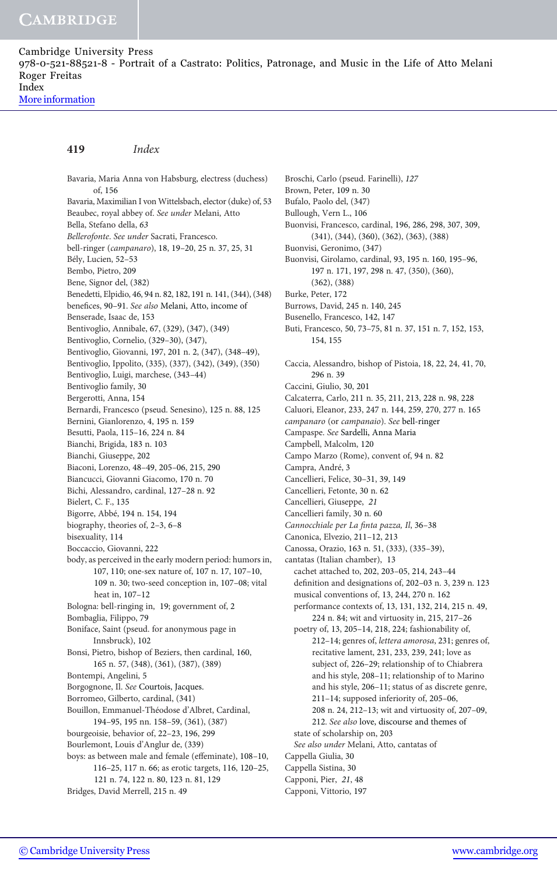[More information](http://www.cambridge.org/9780521885218)

## 419 Index

Bavaria, Maria Anna von Habsburg, electress (duchess) of, 156 Bavaria, Maximilian I von Wittelsbach, elector (duke) of, 53 Beaubec, royal abbey of. See under Melani, Atto Bella, Stefano della, 63 Bellerofonte. See under Sacrati, Francesco. bell-ringer (campanaro), 18, 19–20, 25 n. 37, 25, 31 Bély, Lucien, 52–53 Bembo, Pietro, 209 Bene, Signor del, (382) Benedetti, Elpidio, 46, 94 n. 82, 182, 191 n. 141, (344), (348) benefices, 90-91. See also Melani, Atto, income of Benserade, Isaac de, 153 Bentivoglio, Annibale, 67, (329), (347), (349) Bentivoglio, Cornelio, (329–30), (347), Bentivoglio, Giovanni, 197, 201 n. 2, (347), (348–49), Bentivoglio, Ippolito, (335), (337), (342), (349), (350) Bentivoglio, Luigi, marchese, (343–44) Bentivoglio family, 30 Bergerotti, Anna, 154 Bernardi, Francesco (pseud. Senesino), 125 n. 88, 125 Bernini, Gianlorenzo, 4, 195 n. 159 Besutti, Paola, 115–16, 224 n. 84 Bianchi, Brigida, 183 n. 103 Bianchi, Giuseppe, 202 Biaconi, Lorenzo, 48–49, 205–06, 215, 290 Biancucci, Giovanni Giacomo, 170 n. 70 Bichi, Alessandro, cardinal, 127–28 n. 92 Bielert, C. F., 135 Bigorre, Abbé, 194 n. 154, 194 biography, theories of, 2–3, 6–8 bisexuality, 114 Boccaccio, Giovanni, 222 body, as perceived in the early modern period: humors in, 107, 110; one-sex nature of, 107 n. 17, 107–10, 109 n. 30; two-seed conception in, 107–08; vital heat in, 107–12 Bologna: bell-ringing in, 19; government of, 2 Bombaglia, Filippo, 79 Boniface, Saint (pseud. for anonymous page in Innsbruck), 102 Bonsi, Pietro, bishop of Beziers, then cardinal, 160, 165 n. 57, (348), (361), (387), (389) Bontempi, Angelini, 5 Borgognone, Il. See Courtois, Jacques. Borromeo, Gilberto, cardinal, (341) Bouillon, Emmanuel-Théodose d'Albret, Cardinal, 194–95, 195 nn. 158–59, (361), (387) bourgeoisie, behavior of, 22–23, 196, 299 Bourlemont, Louis d'Anglur de, (339) boys: as between male and female (effeminate), 108–10, 116–25, 117 n. 66; as erotic targets, 116, 120–25, 121 n. 74, 122 n. 80, 123 n. 81, 129 Bridges, David Merrell, 215 n. 49

Broschi, Carlo (pseud. Farinelli), 127 Brown, Peter, 109 n. 30 Bufalo, Paolo del, (347) Bullough, Vern L., 106 Buonvisi, Francesco, cardinal, 196, 286, 298, 307, 309, (341), (344), (360), (362), (363), (388) Buonvisi, Geronimo, (347) Buonvisi, Girolamo, cardinal, 93, 195 n. 160, 195–96, 197 n. 171, 197, 298 n. 47, (350), (360), (362), (388) Burke, Peter, 172 Burrows, David, 245 n. 140, 245 Busenello, Francesco, 142, 147 Buti, Francesco, 50, 73–75, 81 n. 37, 151 n. 7, 152, 153, 154, 155 Caccia, Alessandro, bishop of Pistoia, 18, 22, 24, 41, 70, 296 n. 39 Caccini, Giulio, 30, 201 Calcaterra, Carlo, 211 n. 35, 211, 213, 228 n. 98, 228 Caluori, Eleanor, 233, 247 n. 144, 259, 270, 277 n. 165 campanaro (or campanaio). See bell-ringer Campaspe. See Sardelli, Anna Maria Campbell, Malcolm, 120 Campo Marzo (Rome), convent of, 94 n. 82 Campra, André, 3 Cancellieri, Felice, 30–31, 39, 149 Cancellieri, Fetonte, 30 n. 62 Cancellieri, Giuseppe, 21 Cancellieri family, 30 n. 60 Cannocchiale per La finta pazza, Il, 36–38 Canonica, Elvezio, 211–12, 213 Canossa, Orazio, 163 n. 51, (333), (335–39), cantatas (Italian chamber), 13 cachet attached to, 202, 203–05, 214, 243–44 definition and designations of, 202–03 n. 3, 239 n. 123 musical conventions of, 13, 244, 270 n. 162 performance contexts of, 13, 131, 132, 214, 215 n. 49, 224 n. 84; wit and virtuosity in, 215, 217–26 poetry of, 13, 205–14, 218, 224; fashionability of, 212–14; genres of, lettera amorosa, 231; genres of, recitative lament, 231, 233, 239, 241; love as subject of, 226–29; relationship of to Chiabrera and his style, 208–11; relationship of to Marino and his style, 206–11; status of as discrete genre, 211–14; supposed inferiority of, 205–06, 208 n. 24, 212–13; wit and virtuosity of, 207–09, 212. See also love, discourse and themes of state of scholarship on, 203 See also under Melani, Atto, cantatas of Cappella Giulia, 30 Cappella Sistina, 30 Capponi, Pier, 21, 48 Capponi, Vittorio, 197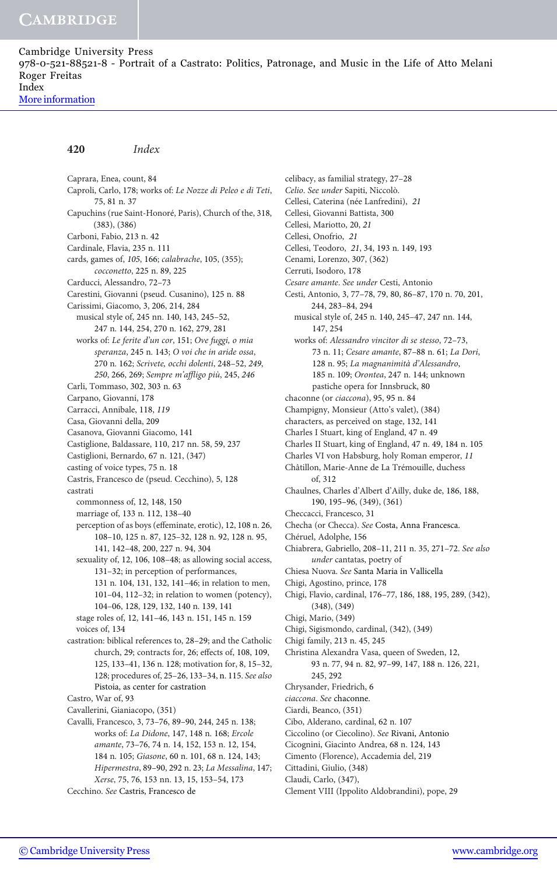[More information](http://www.cambridge.org/9780521885218)

#### 420 Index

Caprara, Enea, count, 84 Caproli, Carlo, 178; works of: Le Nozze di Peleo e di Teti, 75, 81 n. 37 Capuchins (rue Saint-Honoré, Paris), Church of the, 318, (383), (386) Carboni, Fabio, 213 n. 42 Cardinale, Flavia, 235 n. 111 cards, games of, 105, 166; calabrache, 105, (355); cocconetto, 225 n. 89, 225 Carducci, Alessandro, 72–73 Carestini, Giovanni (pseud. Cusanino), 125 n. 88 Carissimi, Giacomo, 3, 206, 214, 284 musical style of, 245 nn. 140, 143, 245–52, 247 n. 144, 254, 270 n. 162, 279, 281 works of: Le ferite d'un cor, 151; Ove fuggi, o mia speranza, 245 n. 143; O voi che in aride ossa, 270 n. 162; Scrivete, occhi dolenti, 248–52, 249, 250, 266, 269; Sempre m'affligo più, 245, 246 Carli, Tommaso, 302, 303 n. 63 Carpano, Giovanni, 178 Carracci, Annibale, 118, 119 Casa, Giovanni della, 209 Casanova, Giovanni Giacomo, 141 Castiglione, Baldassare, 110, 217 nn. 58, 59, 237 Castiglioni, Bernardo, 67 n. 121, (347) casting of voice types, 75 n. 18 Castris, Francesco de (pseud. Cecchino), 5, 128 castrati commonness of, 12, 148, 150 marriage of, 133 n. 112, 138–40 perception of as boys (effeminate, erotic), 12, 108 n. 26, 108–10, 125 n. 87, 125–32, 128 n. 92, 128 n. 95, 141, 142–48, 200, 227 n. 94, 304 sexuality of, 12, 106, 108–48; as allowing social access, 131–32; in perception of performances, 131 n. 104, 131, 132, 141–46; in relation to men, 101–04, 112–32; in relation to women (potency), 104–06, 128, 129, 132, 140 n. 139, 141 stage roles of, 12, 141–46, 143 n. 151, 145 n. 159 voices of, 134 castration: biblical references to, 28–29; and the Catholic church, 29; contracts for, 26; effects of, 108, 109, 125, 133–41, 136 n. 128; motivation for, 8, 15–32, 128; procedures of, 25–26, 133–34, n. 115. See also Pistoia, as center for castration Castro, War of, 93 Cavallerini, Gianiacopo, (351) Cavalli, Francesco, 3, 73–76, 89–90, 244, 245 n. 138; works of: La Didone, 147, 148 n. 168; Ercole amante, 73–76, 74 n. 14, 152, 153 n. 12, 154, 184 n. 105; Giasone, 60 n. 101, 68 n. 124, 143;

Hipermestra, 89–90, 292 n. 23; La Messalina, 147;

Xerse, 75, 76, 153 nn. 13, 15, 153–54, 173 Cecchino. See Castris, Francesco de

celibacy, as familial strategy, 27–28 Celio. See under Sapiti, Niccolò. Cellesi, Caterina (née Lanfredini), 21 Cellesi, Giovanni Battista, 300 Cellesi, Mariotto, 20, 21 Cellesi, Onofrio, 21 Cellesi, Teodoro, 21, 34, 193 n. 149, 193 Cenami, Lorenzo, 307, (362) Cerruti, Isodoro, 178 Cesare amante. See under Cesti, Antonio Cesti, Antonio, 3, 77–78, 79, 80, 86–87, 170 n. 70, 201, 244, 283–84, 294 musical style of, 245 n. 140, 245–47, 247 nn. 144, 147, 254 works of: Alessandro vincitor di se stesso, 72–73, 73 n. 11; Cesare amante, 87–88 n. 61; La Dori, 128 n. 95; La magnanimità d'Alessandro, 185 n. 109; Orontea, 247 n. 144; unknown pastiche opera for Innsbruck, 80 chaconne (or ciaccona), 95, 95 n. 84 Champigny, Monsieur (Atto's valet), (384) characters, as perceived on stage, 132, 141 Charles I Stuart, king of England, 47 n. 49 Charles II Stuart, king of England, 47 n. 49, 184 n. 105 Charles VI von Habsburg, holy Roman emperor, 11 Châtillon, Marie-Anne de La Trémouille, duchess of, 312 Chaulnes, Charles d'Albert d'Ailly, duke de, 186, 188, 190, 195–96, (349), (361) Checcacci, Francesco, 31 Checha (or Checca). See Costa, Anna Francesca. Chéruel, Adolphe, 156 Chiabrera, Gabriello, 208–11, 211 n. 35, 271–72. See also under cantatas, poetry of Chiesa Nuova. See Santa Maria in Vallicella Chigi, Agostino, prince, 178 Chigi, Flavio, cardinal, 176–77, 186, 188, 195, 289, (342), (348), (349) Chigi, Mario, (349) Chigi, Sigismondo, cardinal, (342), (349) Chigi family, 213 n. 45, 245 Christina Alexandra Vasa, queen of Sweden, 12, 93 n. 77, 94 n. 82, 97–99, 147, 188 n. 126, 221, 245, 292 Chrysander, Friedrich, 6 ciaccona. See chaconne. Ciardi, Beanco, (351) Cibo, Alderano, cardinal, 62 n. 107 Ciccolino (or Ciecolino). See Rivani, Antonio Cicognini, Giacinto Andrea, 68 n. 124, 143 Cimento (Florence), Accademia del, 219

Cittadini, Giulio, (348) Claudi, Carlo, (347),

Clement VIII (Ippolito Aldobrandini), pope, 29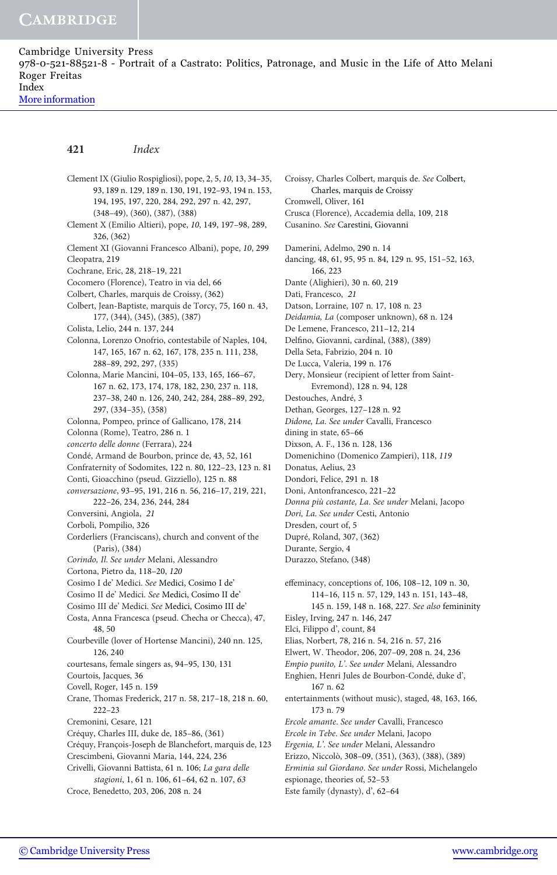[More information](http://www.cambridge.org/9780521885218)

## 421 Index

Clement IX (Giulio Rospigliosi), pope, 2, 5, 10, 13, 34–35, 93, 189 n. 129, 189 n. 130, 191, 192–93, 194 n. 153, 194, 195, 197, 220, 284, 292, 297 n. 42, 297, (348–49), (360), (387), (388) Clement X (Emilio Altieri), pope, 10, 149, 197–98, 289, 326, (362) Clement XI (Giovanni Francesco Albani), pope, 10, 299 Cleopatra, 219 Cochrane, Eric, 28, 218–19, 221 Cocomero (Florence), Teatro in via del, 66 Colbert, Charles, marquis de Croissy, (362) Colbert, Jean-Baptiste, marquis de Torcy, 75, 160 n. 43, 177, (344), (345), (385), (387) Colista, Lelio, 244 n. 137, 244 Colonna, Lorenzo Onofrio, contestabile of Naples, 104, 147, 165, 167 n. 62, 167, 178, 235 n. 111, 238, 288–89, 292, 297, (335) Colonna, Marie Mancini, 104–05, 133, 165, 166–67, 167 n. 62, 173, 174, 178, 182, 230, 237 n. 118, 237–38, 240 n. 126, 240, 242, 284, 288–89, 292, 297, (334–35), (358) Colonna, Pompeo, prince of Gallicano, 178, 214 Colonna (Rome), Teatro, 286 n. 1 concerto delle donne (Ferrara), 224 Condé, Armand de Bourbon, prince de, 43, 52, 161 Confraternity of Sodomites, 122 n. 80, 122–23, 123 n. 81 Conti, Gioacchino (pseud. Gizziello), 125 n. 88 conversazione, 93–95, 191, 216 n. 56, 216–17, 219, 221, 222–26, 234, 236, 244, 284 Conversini, Angiola, 21 Corboli, Pompilio, 326 Corderliers (Franciscans), church and convent of the (Paris), (384) Corindo, Il. See under Melani, Alessandro Cortona, Pietro da, 118–20, 120 Cosimo I de' Medici. See Medici, Cosimo I de' Cosimo II de' Medici. See Medici, Cosimo II de' Cosimo III de' Medici. See Medici, Cosimo III de' Costa, Anna Francesca (pseud. Checha or Checca), 47, 48, 50 Courbeville (lover of Hortense Mancini), 240 nn. 125, 126, 240 courtesans, female singers as, 94–95, 130, 131 Courtois, Jacques, 36 Covell, Roger, 145 n. 159 Crane, Thomas Frederick, 217 n. 58, 217–18, 218 n. 60, 222–23 Cremonini, Cesare, 121 Créquy, Charles III, duke de, 185–86, (361) Créquy, François-Joseph de Blanchefort, marquis de, 123 Crescimbeni, Giovanni Maria, 144, 224, 236 Crivelli, Giovanni Battista, 61 n. 106; La gara delle stagioni, 1, 61 n. 106, 61–64, 62 n. 107, 63 Croce, Benedetto, 203, 206, 208 n. 24

Charles, marquis de Croissy Cromwell, Oliver, 161 Crusca (Florence), Accademia della, 109, 218 Cusanino. See Carestini, Giovanni Damerini, Adelmo, 290 n. 14 dancing, 48, 61, 95, 95 n. 84, 129 n. 95, 151–52, 163, 166, 223 Dante (Alighieri), 30 n. 60, 219 Dati, Francesco, 21 Datson, Lorraine, 107 n. 17, 108 n. 23 Deidamia, La (composer unknown), 68 n. 124 De Lemene, Francesco, 211–12, 214 Delfino, Giovanni, cardinal, (388), (389) Della Seta, Fabrizio, 204 n. 10 De Lucca, Valeria, 199 n. 176 Dery, Monsieur (recipient of letter from Saint-Evremond), 128 n. 94, 128 Destouches, André, 3 Dethan, Georges, 127–128 n. 92 Didone, La. See under Cavalli, Francesco dining in state, 65–66 Dixson, A. F., 136 n. 128, 136 Domenichino (Domenico Zampieri), 118, 119 Donatus, Aelius, 23 Dondori, Felice, 291 n. 18 Doni, Antonfrancesco, 221–22 Donna più costante, La. See under Melani, Jacopo Dori, La. See under Cesti, Antonio Dresden, court of, 5 Dupré, Roland, 307, (362) Durante, Sergio, 4 Durazzo, Stefano, (348) effeminacy, conceptions of, 106, 108–12, 109 n. 30, 114–16, 115 n. 57, 129, 143 n. 151, 143–48, 145 n. 159, 148 n. 168, 227. See also femininity Eisley, Irving, 247 n. 146, 247 Elci, Filippo d', count, 84 Elias, Norbert, 78, 216 n. 54, 216 n. 57, 216 Elwert, W. Theodor, 206, 207–09, 208 n. 24, 236 Empio punito, L'. See under Melani, Alessandro Enghien, Henri Jules de Bourbon-Condé, duke d', 167 n. 62 entertainments (without music), staged, 48, 163, 166, 173 n. 79 Ercole amante. See under Cavalli, Francesco Ercole in Tebe. See under Melani, Jacopo Ergenia, L'. See under Melani, Alessandro Erizzo, Niccolò, 308–09, (351), (363), (388), (389) Erminia sul Giordano. See under Rossi, Michelangelo espionage, theories of, 52–53 Este family (dynasty), d', 62–64

Croissy, Charles Colbert, marquis de. See Colbert,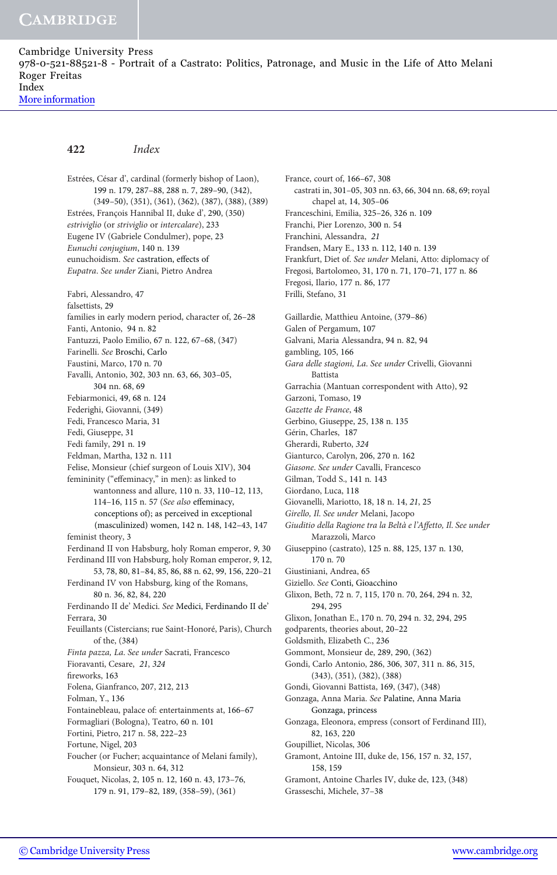[More information](http://www.cambridge.org/9780521885218)

# 422 Index

Estrées, César d', cardinal (formerly bishop of Laon), 199 n. 179, 287–88, 288 n. 7, 289–90, (342), (349–50), (351), (361), (362), (387), (388), (389) Estrées, François Hannibal II, duke d', 290, (350) estriviglio (or striviglio or intercalare), 233 Eugene IV (Gabriele Condulmer), pope, 23 Eunuchi conjugium, 140 n. 139 eunuchoidism. See castration, effects of Eupatra. See under Ziani, Pietro Andrea Fabri, Alessandro, 47 falsettists, 29 families in early modern period, character of, 26–28 Fanti, Antonio, 94 n. 82 Fantuzzi, Paolo Emilio, 67 n. 122, 67–68, (347) Farinelli. See Broschi, Carlo Faustini, Marco, 170 n. 70 Favalli, Antonio, 302, 303 nn. 63, 66, 303–05, 304 nn. 68, 69 Febiarmonici, 49, 68 n. 124 Federighi, Giovanni, (349) Fedi, Francesco Maria, 31 Fedi, Giuseppe, 31 Fedi family, 291 n. 19 Feldman, Martha, 132 n. 111 Felise, Monsieur (chief surgeon of Louis XIV), 304 femininity ("effeminacy," in men): as linked to wantonness and allure, 110 n. 33, 110–12, 113, 114–16, 115 n. 57 (See also effeminacy, conceptions of); as perceived in exceptional (masculinized) women, 142 n. 148, 142–43, 147 feminist theory, 3 Ferdinand II von Habsburg, holy Roman emperor, 9, 30 Ferdinand III von Habsburg, holy Roman emperor, 9, 12, 53, 78, 80, 81–84, 85, 86, 88 n. 62, 99, 156, 220–21 Ferdinand IV von Habsburg, king of the Romans, 80 n. 36, 82, 84, 220 Ferdinando II de' Medici. See Medici, Ferdinando II de' Ferrara, 30 Feuillants (Cistercians; rue Saint-Honoré, Paris), Church of the, (384) Finta pazza, La. See under Sacrati, Francesco Fioravanti, Cesare, 21, 324 fireworks, 163 Folena, Gianfranco, 207, 212, 213 Folman, Y., 136 Fontainebleau, palace of: entertainments at, 166–67 Formagliari (Bologna), Teatro, 60 n. 101 Fortini, Pietro, 217 n. 58, 222–23 Fortune, Nigel, 203 Foucher (or Fucher; acquaintance of Melani family), Monsieur, 303 n. 64, 312 Fouquet, Nicolas, 2, 105 n. 12, 160 n. 43, 173–76, 179 n. 91, 179–82, 189, (358–59), (361)

France, court of, 166–67, 308 castrati in, 301–05, 303 nn. 63, 66, 304 nn. 68, 69; royal chapel at, 14, 305–06 Franceschini, Emilia, 325–26, 326 n. 109 Franchi, Pier Lorenzo, 300 n. 54 Franchini, Alessandra, 21 Frandsen, Mary E., 133 n. 112, 140 n. 139 Frankfurt, Diet of. See under Melani, Atto: diplomacy of Fregosi, Bartolomeo, 31, 170 n. 71, 170–71, 177 n. 86 Fregosi, Ilario, 177 n. 86, 177 Frilli, Stefano, 31 Gaillardie, Matthieu Antoine, (379–86) Galen of Pergamum, 107 Galvani, Maria Alessandra, 94 n. 82, 94 gambling, 105, 166 Gara delle stagioni, La. See under Crivelli, Giovanni Battista Garrachia (Mantuan correspondent with Atto), 92 Garzoni, Tomaso, 19 Gazette de France, 48 Gerbino, Giuseppe, 25, 138 n. 135 Gérin, Charles, 187 Gherardi, Ruberto, 324 Gianturco, Carolyn, 206, 270 n. 162 Giasone. See under Cavalli, Francesco Gilman, Todd S., 141 n. 143 Giordano, Luca, 118 Giovanelli, Mariotto, 18, 18 n. 14, 21, 25 Girello, Il. See under Melani, Jacopo Giuditio della Ragione tra la Beltà e l'Affetto, Il. See under Marazzoli, Marco Giuseppino (castrato), 125 n. 88, 125, 137 n. 130, 170 n. 70 Giustiniani, Andrea, 65 Giziello. See Conti, Gioacchino Glixon, Beth, 72 n. 7, 115, 170 n. 70, 264, 294 n. 32, 294, 295 Glixon, Jonathan E., 170 n. 70, 294 n. 32, 294, 295 godparents, theories about, 20–22 Goldsmith, Elizabeth C., 236 Gommont, Monsieur de, 289, 290, (362) Gondi, Carlo Antonio, 286, 306, 307, 311 n. 86, 315, (343), (351), (382), (388) Gondi, Giovanni Battista, 169, (347), (348) Gonzaga, Anna Maria. See Palatine, Anna Maria Gonzaga, princess Gonzaga, Eleonora, empress (consort of Ferdinand III), 82, 163, 220 Goupilliet, Nicolas, 306 Gramont, Antoine III, duke de, 156, 157 n. 32, 157, 158, 159 Gramont, Antoine Charles IV, duke de, 123, (348) Grasseschi, Michele, 37–38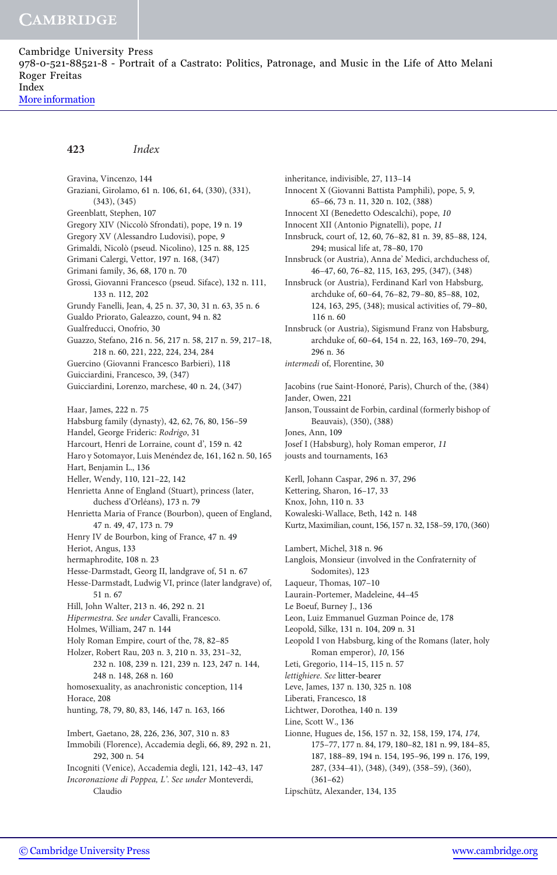423 Index

Gravina, Vincenzo, 144 Graziani, Girolamo, 61 n. 106, 61, 64, (330), (331), (343), (345) Greenblatt, Stephen, 107 Gregory XIV (Niccolò Sfrondati), pope, 19 n. 19 Gregory XV (Alessandro Ludovisi), pope, 9 Grimaldi, Nicolò (pseud. Nicolino), 125 n. 88, 125 Grimani Calergi, Vettor, 197 n. 168, (347) Grimani family, 36, 68, 170 n. 70 Grossi, Giovanni Francesco (pseud. Siface), 132 n. 111, 133 n. 112, 202 Grundy Fanelli, Jean, 4, 25 n. 37, 30, 31 n. 63, 35 n. 6 Gualdo Priorato, Galeazzo, count, 94 n. 82 Gualfreducci, Onofrio, 30 Guazzo, Stefano, 216 n. 56, 217 n. 58, 217 n. 59, 217–18, 218 n. 60, 221, 222, 224, 234, 284 Guercino (Giovanni Francesco Barbieri), 118 Guicciardini, Francesco, 39, (347) Guicciardini, Lorenzo, marchese, 40 n. 24, (347) Haar, James, 222 n. 75 Habsburg family (dynasty), 42, 62, 76, 80, 156–59 Handel, George Frideric: Rodrigo, 31 Harcourt, Henri de Lorraine, count d', 159 n. 42 Haro y Sotomayor, Luis Menéndez de, 161, 162 n. 50, 165 Hart, Benjamin L., 136 Heller, Wendy, 110, 121–22, 142 Henrietta Anne of England (Stuart), princess (later, duchess d'Orléans), 173 n. 79 Henrietta Maria of France (Bourbon), queen of England, 47 n. 49, 47, 173 n. 79 Henry IV de Bourbon, king of France, 47 n. 49 Heriot, Angus, 133 hermaphrodite, 108 n. 23 Hesse-Darmstadt, Georg II, landgrave of, 51 n. 67 Hesse-Darmstadt, Ludwig VI, prince (later landgrave) of, 51 n. 67 Hill, John Walter, 213 n. 46, 292 n. 21 Hipermestra. See under Cavalli, Francesco. Holmes, William, 247 n. 144 Holy Roman Empire, court of the, 78, 82–85 Holzer, Robert Rau, 203 n. 3, 210 n. 33, 231–32, 232 n. 108, 239 n. 121, 239 n. 123, 247 n. 144, 248 n. 148, 268 n. 160 homosexuality, as anachronistic conception, 114 Horace, 208 hunting, 78, 79, 80, 83, 146, 147 n. 163, 166 Imbert, Gaetano, 28, 226, 236, 307, 310 n. 83 Immobili (Florence), Accademia degli, 66, 89, 292 n. 21, 292, 300 n. 54 Incogniti (Venice), Accademia degli, 121, 142–43, 147 Incoronazione di Poppea, L'. See under Monteverdi, Claudio

Innocent X (Giovanni Battista Pamphili), pope, 5, 9, 65–66, 73 n. 11, 320 n. 102, (388) Innocent XI (Benedetto Odescalchi), pope, 10 Innocent XII (Antonio Pignatelli), pope, 11 Innsbruck, court of, 12, 60, 76–82, 81 n. 39, 85–88, 124, 294; musical life at, 78–80, 170 Innsbruck (or Austria), Anna de' Medici, archduchess of, 46–47, 60, 76–82, 115, 163, 295, (347), (348) Innsbruck (or Austria), Ferdinand Karl von Habsburg, archduke of, 60–64, 76–82, 79–80, 85–88, 102, 124, 163, 295, (348); musical activities of, 79–80, 116 n. 60 Innsbruck (or Austria), Sigismund Franz von Habsburg, archduke of, 60–64, 154 n. 22, 163, 169–70, 294, 296 n. 36 intermedi of, Florentine, 30 Jacobins (rue Saint-Honoré, Paris), Church of the, (384) Jander, Owen, 221 Janson, Toussaint de Forbin, cardinal (formerly bishop of Beauvais), (350), (388) Jones, Ann, 109 Josef I (Habsburg), holy Roman emperor, 11 jousts and tournaments, 163 Kerll, Johann Caspar, 296 n. 37, 296 Kettering, Sharon, 16–17, 33 Knox, John, 110 n. 33 Kowaleski-Wallace, Beth, 142 n. 148 Kurtz, Maximilian, count, 156, 157 n. 32, 158–59, 170, (360) Lambert, Michel, 318 n. 96 Langlois, Monsieur (involved in the Confraternity of Sodomites), 123 Laqueur, Thomas, 107–10 Laurain-Portemer, Madeleine, 44–45 Le Boeuf, Burney J., 136 Leon, Luiz Emmanuel Guzman Poince de, 178 Leopold, Silke, 131 n. 104, 209 n. 31 Leopold I von Habsburg, king of the Romans (later, holy Roman emperor), 10, 156 Leti, Gregorio, 114–15, 115 n. 57 lettighiere. See litter-bearer Leve, James, 137 n. 130, 325 n. 108 Liberati, Francesco, 18 Lichtwer, Dorothea, 140 n. 139 Line, Scott W., 136 Lionne, Hugues de, 156, 157 n. 32, 158, 159, 174, 174, 175–77, 177 n. 84, 179, 180–82, 181 n. 99, 184–85, 187, 188–89, 194 n. 154, 195–96, 199 n. 176, 199, 287, (334–41), (348), (349), (358–59), (360),

inheritance, indivisible, 27, 113–14

(361–62)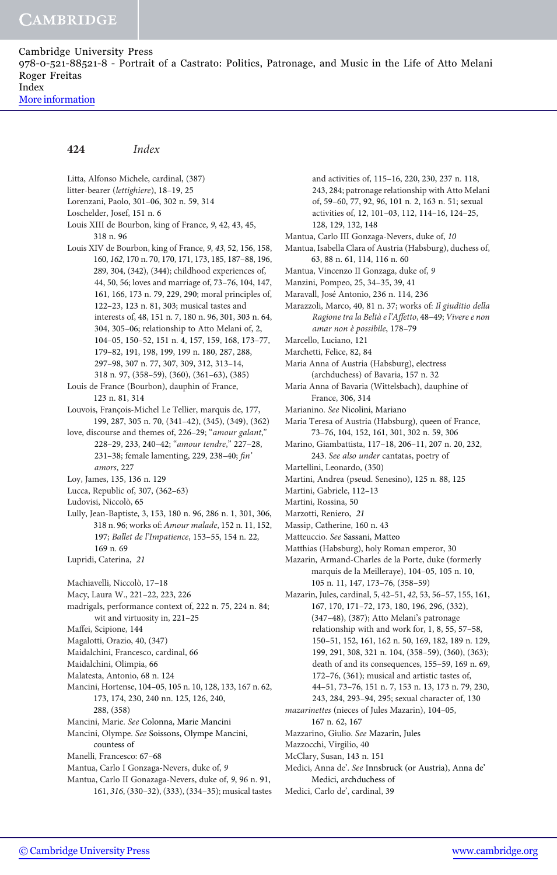[More information](http://www.cambridge.org/9780521885218)

#### 424 Index

Litta, Alfonso Michele, cardinal, (387) litter-bearer (lettighiere), 18–19, 25 Lorenzani, Paolo, 301–06, 302 n. 59, 314 Loschelder, Josef, 151 n. 6 Louis XIII de Bourbon, king of France, 9, 42, 43, 45, 318 n. 96 Louis XIV de Bourbon, king of France, 9, 43, 52, 156, 158, 160, 162, 170 n. 70, 170, 171, 173, 185, 187–88, 196, 289, 304, (342), (344); childhood experiences of, 44, 50, 56; loves and marriage of, 73–76, 104, 147, 161, 166, 173 n. 79, 229, 290; moral principles of, 122–23, 123 n. 81, 303; musical tastes and interests of, 48, 151 n. 7, 180 n. 96, 301, 303 n. 64, 304, 305–06; relationship to Atto Melani of, 2, 104–05, 150–52, 151 n. 4, 157, 159, 168, 173–77, 179–82, 191, 198, 199, 199 n. 180, 287, 288, 297–98, 307 n. 77, 307, 309, 312, 313–14, 318 n. 97, (358–59), (360), (361–63), (385) Louis de France (Bourbon), dauphin of France, 123 n. 81, 314 Louvois, François-Michel Le Tellier, marquis de, 177, 199, 287, 305 n. 70, (341–42), (345), (349), (362) love, discourse and themes of, 226-29; "amour galant," 228–29, 233, 240–42; "amour tendre," 227–28, 231–38; female lamenting, 229, 238–40; fin' amors, 227 Loy, James, 135, 136 n. 129 Lucca, Republic of, 307, (362–63) Ludovisi, Niccolò, 65 Lully, Jean-Baptiste, 3, 153, 180 n. 96, 286 n. 1, 301, 306, 318 n. 96; works of: Amour malade, 152 n. 11, 152, 197; Ballet de l'Impatience, 153–55, 154 n. 22, 169 n. 69 Lupridi, Caterina, 21 Machiavelli, Niccolò, 17–18 Macy, Laura W., 221–22, 223, 226 madrigals, performance context of, 222 n. 75, 224 n. 84; wit and virtuosity in, 221–25 Maffei, Scipione, 144 Magalotti, Orazio, 40, (347) Maidalchini, Francesco, cardinal, 66 Maidalchini, Olimpia, 66 Malatesta, Antonio, 68 n. 124 Mancini, Hortense, 104–05, 105 n. 10, 128, 133, 167 n. 62, 173, 174, 230, 240 nn. 125, 126, 240, 288, (358) Mancini, Marie. See Colonna, Marie Mancini Mancini, Olympe. See Soissons, Olympe Mancini, countess of Manelli, Francesco: 67–68 Mantua, Carlo I Gonzaga-Nevers, duke of, 9 Mantua, Carlo II Gonazaga-Nevers, duke of, 9, 96 n. 91, 161, 316, (330–32), (333), (334–35); musical tastes

and activities of, 115–16, 220, 230, 237 n. 118, 243, 284; patronage relationship with Atto Melani of, 59–60, 77, 92, 96, 101 n. 2, 163 n. 51; sexual activities of, 12, 101–03, 112, 114–16, 124–25, 128, 129, 132, 148 Mantua, Carlo III Gonzaga-Nevers, duke of, 10 Mantua, Isabella Clara of Austria (Habsburg), duchess of, 63, 88 n. 61, 114, 116 n. 60 Mantua, Vincenzo II Gonzaga, duke of, 9 Manzini, Pompeo, 25, 34–35, 39, 41 Maravall, José Antonio, 236 n. 114, 236 Marazzoli, Marco, 40, 81 n. 37; works of: Il giuditio della Ragione tra la Beltà e l'Affetto, 48–49; Vivere e non amar non è possibile, 178–79 Marcello, Luciano, 121 Marchetti, Felice, 82, 84 Maria Anna of Austria (Habsburg), electress (archduchess) of Bavaria, 157 n. 32 Maria Anna of Bavaria (Wittelsbach), dauphine of France, 306, 314 Marianino. See Nicolini, Mariano Maria Teresa of Austria (Habsburg), queen of France, 73–76, 104, 152, 161, 301, 302 n. 59, 306 Marino, Giambattista, 117–18, 206–11, 207 n. 20, 232, 243. See also under cantatas, poetry of Martellini, Leonardo, (350) Martini, Andrea (pseud. Senesino), 125 n. 88, 125 Martini, Gabriele, 112–13 Martini, Rossina, 50 Marzotti, Reniero, 21 Massip, Catherine, 160 n. 43 Matteuccio. See Sassani, Matteo Matthias (Habsburg), holy Roman emperor, 30 Mazarin, Armand-Charles de la Porte, duke (formerly marquis de la Meilleraye), 104–05, 105 n. 10, 105 n. 11, 147, 173–76, (358–59) Mazarin, Jules, cardinal, 5, 42–51, 42, 53, 56–57, 155, 161, 167, 170, 171–72, 173, 180, 196, 296, (332), (347–48), (387); Atto Melani's patronage relationship with and work for, 1, 8, 55, 57–58, 150–51, 152, 161, 162 n. 50, 169, 182, 189 n. 129, 199, 291, 308, 321 n. 104, (358–59), (360), (363); death of and its consequences, 155–59, 169 n. 69, 172–76, (361); musical and artistic tastes of, 44–51, 73–76, 151 n. 7, 153 n. 13, 173 n. 79, 230, 243, 284, 293–94, 295; sexual character of, 130 mazarinettes (nieces of Jules Mazarin), 104–05, 167 n. 62, 167 Mazzarino, Giulio. See Mazarin, Jules Mazzocchi, Virgilio, 40 McClary, Susan, 143 n. 151 Medici, Anna de'. See Innsbruck (or Austria), Anna de' Medici, archduchess of Medici, Carlo de', cardinal, 39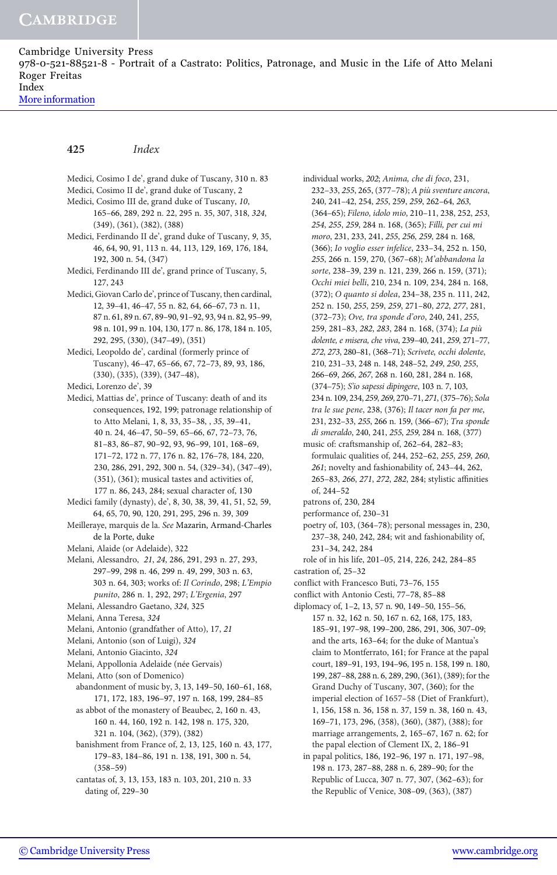[More information](http://www.cambridge.org/9780521885218)

# 425 Index

Medici, Cosimo I de', grand duke of Tuscany, 310 n. 83 Medici, Cosimo II de', grand duke of Tuscany, 2 Medici, Cosimo III de, grand duke of Tuscany, 10, 165–66, 289, 292 n. 22, 295 n. 35, 307, 318, 324, (349), (361), (382), (388) Medici, Ferdinando II de', grand duke of Tuscany, 9, 35, 46, 64, 90, 91, 113 n. 44, 113, 129, 169, 176, 184, 192, 300 n. 54, (347) Medici, Ferdinando III de', grand prince of Tuscany, 5, 127, 243 Medici, Giovan Carlo de', prince of Tuscany, then cardinal, 12, 39–41, 46–47, 55 n. 82, 64, 66–67, 73 n. 11, 87 n. 61, 89 n. 67, 89–90, 91–92, 93, 94 n. 82, 95–99, 98 n. 101, 99 n. 104, 130, 177 n. 86, 178, 184 n. 105, 292, 295, (330), (347–49), (351) Medici, Leopoldo de', cardinal (formerly prince of Tuscany), 46–47, 65–66, 67, 72–73, 89, 93, 186, (330), (335), (339), (347–48), Medici, Lorenzo de', 39 Medici, Mattias de', prince of Tuscany: death of and its consequences, 192, 199; patronage relationship of to Atto Melani, 1, 8, 33, 35–38, , 35, 39–41, 40 n. 24, 46–47, 50–59, 65–66, 67, 72–73, 76, 81–83, 86–87, 90–92, 93, 96–99, 101, 168–69, 171–72, 172 n. 77, 176 n. 82, 176–78, 184, 220, 230, 286, 291, 292, 300 n. 54, (329–34), (347–49), (351), (361); musical tastes and activities of, 177 n. 86, 243, 284; sexual character of, 130 Medici family (dynasty), de', 8, 30, 38, 39, 41, 51, 52, 59, 64, 65, 70, 90, 120, 291, 295, 296 n. 39, 309 Meilleraye, marquis de la. See Mazarin, Armand-Charles de la Porte, duke Melani, Alaide (or Adelaide), 322 Melani, Alessandro, 21, 24, 286, 291, 293 n. 27, 293, 297–99, 298 n. 46, 299 n. 49, 299, 303 n. 63, 303 n. 64, 303; works of: Il Corindo, 298; L'Empio punito, 286 n. 1, 292, 297; L'Ergenia, 297 Melani, Alessandro Gaetano, 324, 325 Melani, Anna Teresa, 324 Melani, Antonio (grandfather of Atto), 17, 21 Melani, Antonio (son of Luigi), 324 Melani, Antonio Giacinto, 324 Melani, Appollonia Adelaide (née Gervais) Melani, Atto (son of Domenico) abandonment of music by, 3, 13, 149–50, 160–61, 168, 171, 172, 183, 196–97, 197 n. 168, 199, 284–85 as abbot of the monastery of Beaubec, 2, 160 n. 43, 160 n. 44, 160, 192 n. 142, 198 n. 175, 320, 321 n. 104, (362), (379), (382) banishment from France of, 2, 13, 125, 160 n. 43, 177, 179–83, 184–86, 191 n. 138, 191, 300 n. 54, (358–59) cantatas of, 3, 13, 153, 183 n. 103, 201, 210 n. 33

dating of, 229–30

individual works, 202; Anima, che di foco, 231, 232–33, 255, 265, (377–78); A più sventure ancora, 240, 241–42, 254, 255, 259, 259, 262–64, 263, (364–65); Fileno, idolo mio, 210–11, 238, 252, 253, 254, 255, 259, 284 n. 168, (365); Filli, per cui mi moro, 231, 233, 241, 255, 256, 259, 284 n. 168, (366); Io voglio esser infelice, 233–34, 252 n. 150, 255, 266 n. 159, 270, (367–68); M'abbandona la sorte, 238–39, 239 n. 121, 239, 266 n. 159, (371); Occhi miei belli, 210, 234 n. 109, 234, 284 n. 168, (372); O quanto si dolea, 234–38, 235 n. 111, 242, 252 n. 150, 255, 259, 259, 271–80, 272, 277, 281, (372–73); Ove, tra sponde d'oro, 240, 241, 255, 259, 281–83, 282, 283, 284 n. 168, (374); La più dolente, e misera, che viva, 239–40, 241, 259, 271–77, 272, 273, 280–81, (368–71); Scrivete, occhi dolente, 210, 231–33, 248 n. 148, 248–52, 249, 250, 255, 266–69, 266, 267, 268 n. 160, 281, 284 n. 168, (374–75); S'io sapessi dipingere, 103 n. 7, 103, 234 n. 109, 234, 259, 269, 270–71, 271, (375–76); Sola tra le sue pene, 238, (376); Il tacer non fa per me, 231, 232–33, 255, 266 n. 159, (366–67); Tra sponde di smeraldo, 240, 241, 255, 259, 284 n. 168, (377) music of: craftsmanship of, 262–64, 282–83; formulaic qualities of, 244, 252–62, 255, 259, 260, 261; novelty and fashionability of, 243–44, 262, 265–83, 266, 271, 272, 282, 284; stylistic affinities of, 244–52

- patrons of, 230, 284
- performance of, 230–31
- poetry of, 103, (364–78); personal messages in, 230, 237–38, 240, 242, 284; wit and fashionability of, 231–34, 242, 284
- role of in his life, 201–05, 214, 226, 242, 284–85 castration of, 25–32
- conflict with Francesco Buti, 73–76, 155
- 
- conflict with Antonio Cesti, 77–78, 85–88
- diplomacy of, 1–2, 13, 57 n. 90, 149–50, 155–56, 157 n. 32, 162 n. 50, 167 n. 62, 168, 175, 183, 185–91, 197–98, 199–200, 286, 291, 306, 307–09; and the arts, 163–64; for the duke of Mantua's claim to Montferrato, 161; for France at the papal court, 189–91, 193, 194–96, 195 n. 158, 199 n. 180, 199, 287–88, 288 n. 6, 289, 290, (361), (389); for the Grand Duchy of Tuscany, 307, (360); for the imperial election of 1657–58 (Diet of Frankfurt), 1, 156, 158 n. 36, 158 n. 37, 159 n. 38, 160 n. 43, 169–71, 173, 296, (358), (360), (387), (388); for marriage arrangements, 2, 165–67, 167 n. 62; for the papal election of Clement IX, 2, 186–91
	- in papal politics, 186, 192–96, 197 n. 171, 197–98, 198 n. 173, 287–88, 288 n. 6, 289–90; for the Republic of Lucca, 307 n. 77, 307, (362–63); for the Republic of Venice, 308–09, (363), (387)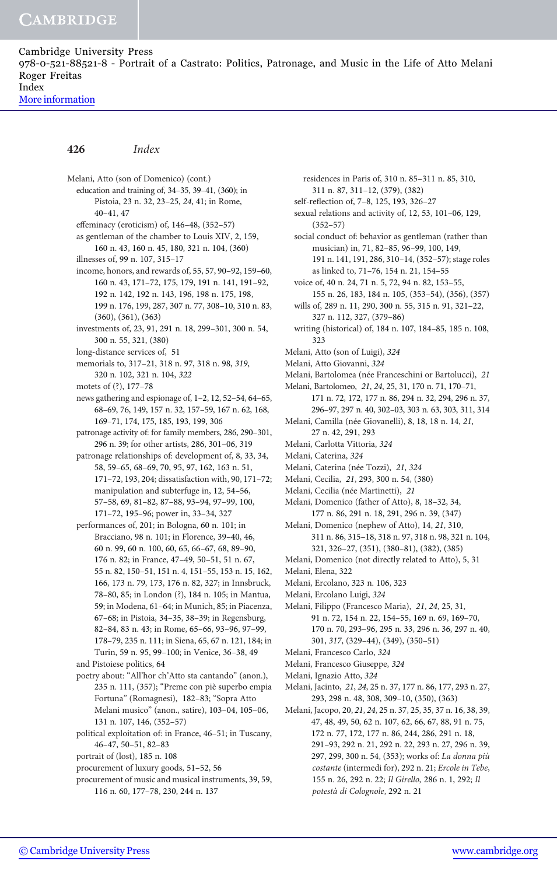[More information](http://www.cambridge.org/9780521885218)

#### 426 Index

Melani, Atto (son of Domenico) (cont.) education and training of, 34–35, 39–41, (360); in Pistoia, 23 n. 32, 23–25, 24, 41; in Rome, 40–41, 47 effeminacy (eroticism) of, 146–48, (352–57) as gentleman of the chamber to Louis XIV, 2, 159, 160 n. 43, 160 n. 45, 180, 321 n. 104, (360) illnesses of, 99 n. 107, 315–17 income, honors, and rewards of, 55, 57, 90–92, 159–60, 160 n. 43, 171–72, 175, 179, 191 n. 141, 191–92, 192 n. 142, 192 n. 143, 196, 198 n. 175, 198, 199 n. 176, 199, 287, 307 n. 77, 308–10, 310 n. 83, (360), (361), (363) investments of, 23, 91, 291 n. 18, 299–301, 300 n. 54, 300 n. 55, 321, (380) long-distance services of, 51 memorials to, 317–21, 318 n. 97, 318 n. 98, 319, 320 n. 102, 321 n. 104, 322 motets of (?), 177–78 news gathering and espionage of, 1–2, 12, 52–54, 64–65, 68–69, 76, 149, 157 n. 32, 157–59, 167 n. 62, 168, 169–71, 174, 175, 185, 193, 199, 306 patronage activity of: for family members, 286, 290–301, 296 n. 39; for other artists, 286, 301–06, 319 patronage relationships of: development of, 8, 33, 34, 58, 59–65, 68–69, 70, 95, 97, 162, 163 n. 51, 171–72, 193, 204; dissatisfaction with, 90, 171–72; manipulation and subterfuge in, 12, 54–56, 57–58, 69, 81–82, 87–88, 93–94, 97–99, 100, 171–72, 195–96; power in, 33–34, 327 performances of, 201; in Bologna, 60 n. 101; in Bracciano, 98 n. 101; in Florence, 39–40, 46, 60 n. 99, 60 n. 100, 60, 65, 66–67, 68, 89–90, 176 n. 82; in France, 47–49, 50–51, 51 n. 67, 55 n. 82, 150–51, 151 n. 4, 151–55, 153 n. 15, 162, 166, 173 n. 79, 173, 176 n. 82, 327; in Innsbruck, 78–80, 85; in London (?), 184 n. 105; in Mantua, 59; in Modena, 61–64; in Munich, 85; in Piacenza, 67–68; in Pistoia, 34–35, 38–39; in Regensburg, 82–84, 83 n. 43; in Rome, 65–66, 93–96, 97–99, 178–79, 235 n. 111; in Siena, 65, 67 n. 121, 184; in Turin, 59 n. 95, 99–100; in Venice, 36–38, 49 and Pistoiese politics, 64 poetry about: "All'hor ch'Atto sta cantando" (anon.), 235 n. 111, (357); "Preme con piè superbo empia

Fortuna" (Romagnesi), 182–83; "Sopra Atto Melani musico" (anon., satire), 103–04, 105–06, 131 n. 107, 146, (352–57)

political exploitation of: in France, 46–51; in Tuscany, 46–47, 50–51, 82–83

portrait of (lost), 185 n. 108

procurement of luxury goods, 51–52, 56

procurement of music and musical instruments, 39, 59, 116 n. 60, 177–78, 230, 244 n. 137

residences in Paris of, 310 n. 85–311 n. 85, 310, 311 n. 87, 311–12, (379), (382) self-reflection of, 7–8, 125, 193, 326–27 sexual relations and activity of, 12, 53, 101–06, 129, (352–57) social conduct of: behavior as gentleman (rather than musician) in, 71, 82–85, 96–99, 100, 149, 191 n. 141, 191, 286, 310–14, (352–57); stage roles as linked to, 71–76, 154 n. 21, 154–55 voice of, 40 n. 24, 71 n. 5, 72, 94 n. 82, 153–55, 155 n. 26, 183, 184 n. 105, (353–54), (356), (357) wills of, 289 n. 11, 290, 300 n. 55, 315 n. 91, 321–22, 327 n. 112, 327, (379–86) writing (historical) of, 184 n. 107, 184–85, 185 n. 108, 323 Melani, Atto (son of Luigi), 324 Melani, Atto Giovanni, 324 Melani, Bartolomea (née Franceschini or Bartolucci), 21 Melani, Bartolomeo, 21, 24, 25, 31, 170 n. 71, 170–71, 171 n. 72, 172, 177 n. 86, 294 n. 32, 294, 296 n. 37, 296–97, 297 n. 40, 302–03, 303 n. 63, 303, 311, 314 Melani, Camilla (née Giovanelli), 8, 18, 18 n. 14, 21, 27 n. 42, 291, 293 Melani, Carlotta Vittoria, 324 Melani, Caterina, 324 Melani, Caterina (née Tozzi), 21, 324 Melani, Cecilia, 21, 293, 300 n. 54, (380) Melani, Cecilia (née Martinetti), 21 Melani, Domenico (father of Atto), 8, 18–32, 34, 177 n. 86, 291 n. 18, 291, 296 n. 39, (347) Melani, Domenico (nephew of Atto), 14, 21, 310, 311 n. 86, 315–18, 318 n. 97, 318 n. 98, 321 n. 104, 321, 326–27, (351), (380–81), (382), (385) Melani, Domenico (not directly related to Atto), 5, 31 Melani, Elena, 322 Melani, Ercolano, 323 n. 106, 323 Melani, Ercolano Luigi, 324 Melani, Filippo (Francesco Maria), 21, 24, 25, 31, 91 n. 72, 154 n. 22, 154–55, 169 n. 69, 169–70, 170 n. 70, 293–96, 295 n. 33, 296 n. 36, 297 n. 40, 301, 317, (329–44), (349), (350–51) Melani, Francesco Carlo, 324 Melani, Francesco Giuseppe, 324 Melani, Ignazio Atto, 324 Melani, Jacinto, 21, 24, 25 n. 37, 177 n. 86, 177, 293 n. 27, 293, 298 n. 48, 308, 309–10, (350), (363) Melani, Jacopo, 20, 21, 24, 25 n. 37, 25, 35, 37 n. 16, 38, 39,

47, 48, 49, 50, 62 n. 107, 62, 66, 67, 88, 91 n. 75, 172 n. 77, 172, 177 n. 86, 244, 286, 291 n. 18, 291–93, 292 n. 21, 292 n. 22, 293 n. 27, 296 n. 39, 297, 299, 300 n. 54, (353); works of: La donna più costante (intermedi for), 292 n. 21; Ercole in Tebe, 155 n. 26, 292 n. 22; Il Girello, 286 n. 1, 292; Il potestà di Colognole, 292 n. 21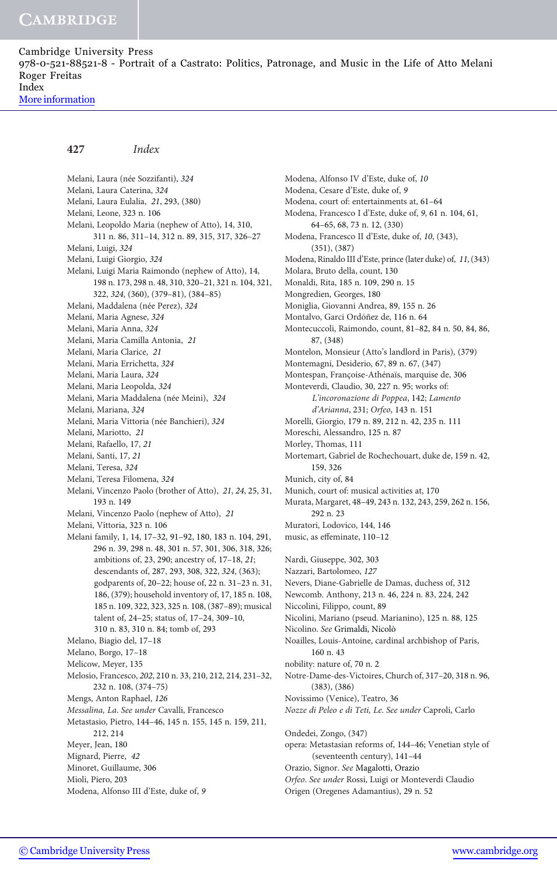[More information](http://www.cambridge.org/9780521885218)

#### 427 Index

Melani, Laura (née Sozzifanti), 324 Melani, Laura Caterina, 324 Melani, Laura Eulalia, 21, 293, (380) Melani, Leone, 323 n. 106 Melani, Leopoldo Maria (nephew of Atto), 14, 310, 311 n. 86, 311–14, 312 n. 89, 315, 317, 326–27 Melani, Luigi, 324 Melani, Luigi Giorgio, 324 Melani, Luigi Maria Raimondo (nephew of Atto), 14, 198 n. 173, 298 n. 48, 310, 320–21, 321 n. 104, 321, 322, 324, (360), (379–81), (384–85) Melani, Maddalena (née Perez), 324 Melani, Maria Agnese, 324 Melani, Maria Anna, 324 Melani, Maria Camilla Antonia, 21 Melani, Maria Clarice, 21 Melani, Maria Errichetta, 324 Melani, Maria Laura, 324 Melani, Maria Leopolda, 324 Melani, Maria Maddalena (née Meini), 324 Melani, Mariana, 324 Melani, Maria Vittoria (née Banchieri), 324 Melani, Mariotto, 21 Melani, Rafaello, 17, 21 Melani, Santi, 17, 21 Melani, Teresa, 324 Melani, Teresa Filomena, 324 Melani, Vincenzo Paolo (brother of Atto), 21, 24, 25, 31, 193 n. 149 Melani, Vincenzo Paolo (nephew of Atto), 21 Melani, Vittoria, 323 n. 106 Melani family, 1, 14, 17–32, 91–92, 180, 183 n. 104, 291, 296 n. 39, 298 n. 48, 301 n. 57, 301, 306, 318, 326; ambitions of, 23, 290; ancestry of, 17–18, 21; descendants of, 287, 293, 308, 322, 324, (363); godparents of, 20–22; house of, 22 n. 31–23 n. 31, 186, (379); household inventory of, 17, 185 n. 108, 185 n. 109, 322, 323, 325 n. 108, (387–89); musical talent of, 24–25; status of, 17–24, 309–10, 310 n. 83, 310 n. 84; tomb of, 293 Melano, Biagio del, 17–18 Melano, Borgo, 17–18 Melicow, Meyer, 135 Melosio, Francesco, 202, 210 n. 33, 210, 212, 214, 231–32, 232 n. 108, (374–75) Mengs, Anton Raphael, 126 Messalina, La. See under Cavalli, Francesco Metastasio, Pietro, 144–46, 145 n. 155, 145 n. 159, 211, 212, 214 Meyer, Jean, 180 Mignard, Pierre, 42 Minoret, Guillaume, 306 Mioli, Piero, 203

Modena, Alfonso III d'Este, duke of, 9

Modena, Alfonso IV d'Este, duke of, 10 Modena, Cesare d'Este, duke of, 9 Modena, court of: entertainments at, 61–64 Modena, Francesco I d'Este, duke of, 9, 61 n. 104, 61, 64–65, 68, 73 n. 12, (330) Modena, Francesco II d'Este, duke of, 10, (343), (351), (387) Modena, Rinaldo III d'Este, prince (later duke) of, 11, (343) Molara, Bruto della, count, 130 Monaldi, Rita, 185 n. 109, 290 n. 15 Mongredien, Georges, 180 Moniglia, Giovanni Andrea, 89, 155 n. 26 Montalvo, Garci Ordóñez de, 116 n. 64 Montecuccoli, Raimondo, count, 81–82, 84 n. 50, 84, 86, 87, (348) Montelon, Monsieur (Atto's landlord in Paris), (379) Montemagni, Desiderio, 67, 89 n. 67, (347) Montespan, Françoise-Athénaïs, marquise de, 306 Monteverdi, Claudio, 30, 227 n. 95; works of: L'incoronazione di Poppea, 142; Lamento d'Arianna, 231; Orfeo, 143 n. 151 Morelli, Giorgio, 179 n. 89, 212 n. 42, 235 n. 111 Moreschi, Alessandro, 125 n. 87 Morley, Thomas, 111 Mortemart, Gabriel de Rochechouart, duke de, 159 n. 42, 159, 326 Munich, city of, 84 Munich, court of: musical activities at, 170 Murata, Margaret, 48–49, 243 n. 132, 243, 259, 262 n. 156, 292 n. 23 Muratori, Lodovico, 144, 146 music, as effeminate, 110–12 Nardi, Giuseppe, 302, 303 Nazzari, Bartolomeo, 127 Nevers, Diane-Gabrielle de Damas, duchess of, 312 Newcomb. Anthony, 213 n. 46, 224 n. 83, 224, 242 Niccolini, Filippo, count, 89 Nicolini, Mariano (pseud. Marianino), 125 n. 88, 125 Nicolino. See Grimaldi, Nicolò Noailles, Louis-Antoine, cardinal archbishop of Paris, 160 n. 43 nobility: nature of, 70 n. 2 Notre-Dame-des-Victoires, Church of, 317–20, 318 n. 96, (383), (386) Novissimo (Venice), Teatro, 36 Nozze di Peleo e di Teti, Le. See under Caproli, Carlo Ondedei, Zongo, (347) opera: Metastasian reforms of, 144–46; Venetian style of (seventeenth century), 141–44 Orazio, Signor. See Magalotti, Orazio Orfeo. See under Rossi, Luigi or Monteverdi Claudio Origen (Oregenes Adamantius), 29 n. 52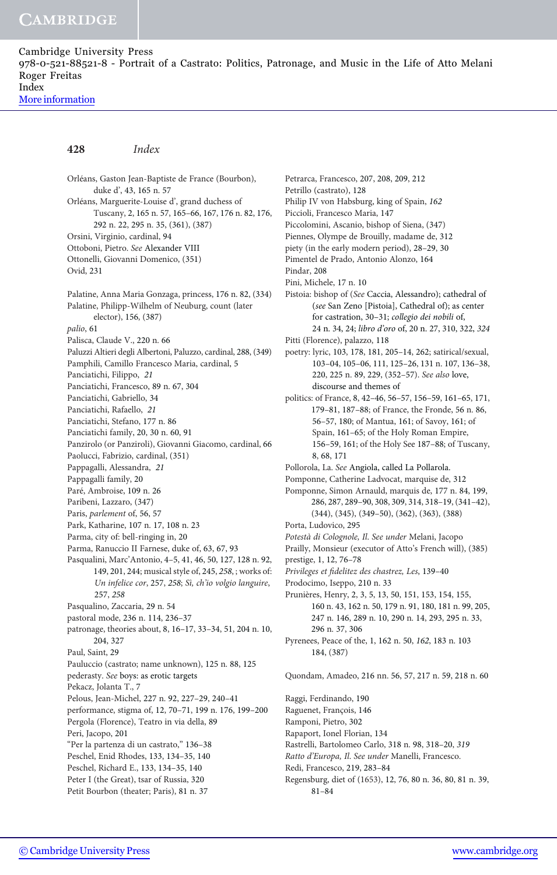[More information](http://www.cambridge.org/9780521885218)

#### 428 Index

Orléans, Gaston Jean-Baptiste de France (Bourbon), duke d', 43, 165 n. 57 Orléans, Marguerite-Louise d', grand duchess of Tuscany, 2, 165 n. 57, 165–66, 167, 176 n. 82, 176, 292 n. 22, 295 n. 35, (361), (387) Orsini, Virginio, cardinal, 94 Ottoboni, Pietro. See Alexander VIII Ottonelli, Giovanni Domenico, (351) Ovid, 231 Palatine, Anna Maria Gonzaga, princess, 176 n. 82, (334) Palatine, Philipp-Wilhelm of Neuburg, count (later elector), 156, (387) palio, 61 Palisca, Claude V., 220 n. 66 Paluzzi Altieri degli Albertoni, Paluzzo, cardinal, 288, (349) Pamphili, Camillo Francesco Maria, cardinal, 5 Panciatichi, Filippo, 21 Panciatichi, Francesco, 89 n. 67, 304 Panciatichi, Gabriello, 34 Panciatichi, Rafaello, 21 Panciatichi, Stefano, 177 n. 86 Panciatichi family, 20, 30 n. 60, 91 Panzirolo (or Panziroli), Giovanni Giacomo, cardinal, 66 Paolucci, Fabrizio, cardinal, (351) Pappagalli, Alessandra, 21 Pappagalli family, 20 Paré, Ambroise, 109 n. 26 Paribeni, Lazzaro, (347) Paris, parlement of, 56, 57 Park, Katharine, 107 n. 17, 108 n. 23 Parma, city of: bell-ringing in, 20 Parma, Ranuccio II Farnese, duke of, 63, 67, 93 Pasqualini, Marc'Antonio, 4–5, 41, 46, 50, 127, 128 n. 92, 149, 201, 244; musical style of, 245, 258, ; works of: Un infelice cor, 257, 258; Sì, ch'io volgio languire, 257, 258 Pasqualino, Zaccaria, 29 n. 54 pastoral mode, 236 n. 114, 236–37 patronage, theories about, 8, 16–17, 33–34, 51, 204 n. 10, 204, 327 Paul, Saint, 29 Pauluccio (castrato; name unknown), 125 n. 88, 125 pederasty. See boys: as erotic targets Pekacz, Jolanta T., 7 Pelous, Jean-Michel, 227 n. 92, 227–29, 240–41 performance, stigma of, 12, 70–71, 199 n. 176, 199–200 Pergola (Florence), Teatro in via della, 89 Peri, Jacopo, 201 "Per la partenza di un castrato," 136–38 Peschel, Enid Rhodes, 133, 134–35, 140 Peschel, Richard E., 133, 134–35, 140 Peter I (the Great), tsar of Russia, 320 Petit Bourbon (theater; Paris), 81 n. 37

Petrarca, Francesco, 207, 208, 209, 212 Petrillo (castrato), 128 Philip IV von Habsburg, king of Spain, 162 Piccioli, Francesco Maria, 147 Piccolomini, Ascanio, bishop of Siena, (347) Piennes, Olympe de Brouilly, madame de, 312 piety (in the early modern period), 28–29, 30 Pimentel de Prado, Antonio Alonzo, 164 Pindar, 208 Pini, Michele, 17 n. 10 Pistoia: bishop of (See Caccia, Alessandro); cathedral of (see San Zeno [Pistoia], Cathedral of); as center for castration, 30–31; collegio dei nobili of, 24 n. 34, 24; libro d'oro of, 20 n. 27, 310, 322, 324 Pitti (Florence), palazzo, 118 poetry: lyric, 103, 178, 181, 205–14, 262; satirical/sexual, 103–04, 105–06, 111, 125–26, 131 n. 107, 136–38, 220, 225 n. 89, 229, (352–57). See also love, discourse and themes of politics: of France, 8, 42–46, 56–57, 156–59, 161–65, 171, 179–81, 187–88; of France, the Fronde, 56 n. 86, 56–57, 180; of Mantua, 161; of Savoy, 161; of Spain, 161–65; of the Holy Roman Empire, 156–59, 161; of the Holy See 187–88; of Tuscany, 8, 68, 171 Pollorola, La. See Angiola, called La Pollarola. Pomponne, Catherine Ladvocat, marquise de, 312 Pomponne, Simon Arnauld, marquis de, 177 n. 84, 199, 286, 287, 289–90, 308, 309, 314, 318–19, (341–42), (344), (345), (349–50), (362), (363), (388) Porta, Ludovico, 295 Potestà di Colognole, Il. See under Melani, Jacopo Prailly, Monsieur (executor of Atto's French will), (385) prestige, 1, 12, 76–78 Privileges et fidelitez des chastrez, Les, 139–40 Prodocimo, Iseppo, 210 n. 33 Prunières, Henry, 2, 3, 5, 13, 50, 151, 153, 154, 155, 160 n. 43, 162 n. 50, 179 n. 91, 180, 181 n. 99, 205, 247 n. 146, 289 n. 10, 290 n. 14, 293, 295 n. 33, 296 n. 37, 306 Pyrenees, Peace of the, 1, 162 n. 50, 162, 183 n. 103 184, (387) Quondam, Amadeo, 216 nn. 56, 57, 217 n. 59, 218 n. 60 Raggi, Ferdinando, 190 Raguenet, François, 146 Ramponi, Pietro, 302 Rapaport, Ionel Florian, 134 Rastrelli, Bartolomeo Carlo, 318 n. 98, 318–20, 319

- Ratto d'Europa, Il. See under Manelli, Francesco.
- Redi, Francesco, 219, 283–84
- Regensburg, diet of (1653), 12, 76, 80 n. 36, 80, 81 n. 39, 81–84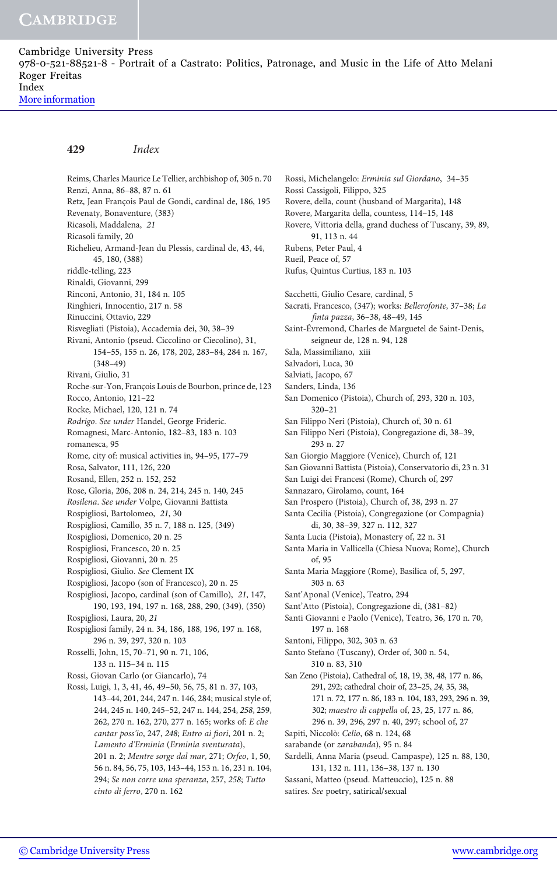[More information](http://www.cambridge.org/9780521885218)

#### 429 Index

Reims, Charles Maurice Le Tellier, archbishop of, 305 n. 70 Renzi, Anna, 86–88, 87 n. 61 Retz, Jean François Paul de Gondi, cardinal de, 186, 195 Revenaty, Bonaventure, (383) Ricasoli, Maddalena, 21 Ricasoli family, 20 Richelieu, Armand-Jean du Plessis, cardinal de, 43, 44, 45, 180, (388) riddle-telling, 223 Rinaldi, Giovanni, 299 Rinconi, Antonio, 31, 184 n. 105 Ringhieri, Innocentio, 217 n. 58 Rinuccini, Ottavio, 229 Risvegliati (Pistoia), Accademia dei, 30, 38–39 Rivani, Antonio (pseud. Ciccolino or Ciecolino), 31, 154–55, 155 n. 26, 178, 202, 283–84, 284 n. 167, (348–49) Rivani, Giulio, 31 Roche-sur-Yon, François Louis de Bourbon, prince de, 123 Rocco, Antonio, 121–22 Rocke, Michael, 120, 121 n. 74 Rodrigo. See under Handel, George Frideric. Romagnesi, Marc-Antonio, 182–83, 183 n. 103 romanesca, 95 Rome, city of: musical activities in, 94–95, 177–79 Rosa, Salvator, 111, 126, 220 Rosand, Ellen, 252 n. 152, 252 Rose, Gloria, 206, 208 n. 24, 214, 245 n. 140, 245 Rosilena. See under Volpe, Giovanni Battista Rospigliosi, Bartolomeo, 21, 30 Rospigliosi, Camillo, 35 n. 7, 188 n. 125, (349) Rospigliosi, Domenico, 20 n. 25 Rospigliosi, Francesco, 20 n. 25 Rospigliosi, Giovanni, 20 n. 25 Rospigliosi, Giulio. See Clement IX Rospigliosi, Jacopo (son of Francesco), 20 n. 25 Rospigliosi, Jacopo, cardinal (son of Camillo), 21, 147, 190, 193, 194, 197 n. 168, 288, 290, (349), (350) Rospigliosi, Laura, 20, 21 Rospigliosi family, 24 n. 34, 186, 188, 196, 197 n. 168, 296 n. 39, 297, 320 n. 103 Rosselli, John, 15, 70–71, 90 n. 71, 106, 133 n. 115–34 n. 115 Rossi, Giovan Carlo (or Giancarlo), 74 Rossi, Luigi, 1, 3, 41, 46, 49–50, 56, 75, 81 n. 37, 103, 143–44, 201, 244, 247 n. 146, 284; musical style of, 244, 245 n. 140, 245–52, 247 n. 144, 254, 258, 259, 262, 270 n. 162, 270, 277 n. 165; works of: E che cantar poss'io, 247, 248; Entro ai fiori, 201 n. 2; Lamento d'Erminia (Erminia sventurata), 201 n. 2; Mentre sorge dal mar, 271; Orfeo, 1, 50, 56 n. 84, 56, 75, 103, 143–44, 153 n. 16, 231 n. 104, 294; Se non corre una speranza, 257, 258; Tutto cinto di ferro, 270 n. 162

Rossi, Michelangelo: Erminia sul Giordano, 34–35 Rossi Cassigoli, Filippo, 325 Rovere, della, count (husband of Margarita), 148 Rovere, Margarita della, countess, 114–15, 148 Rovere, Vittoria della, grand duchess of Tuscany, 39, 89, 91, 113 n. 44 Rubens, Peter Paul, 4 Rueil, Peace of, 57 Rufus, Quintus Curtius, 183 n. 103 Sacchetti, Giulio Cesare, cardinal, 5 Sacrati, Francesco, (347); works: Bellerofonte, 37–38; La finta pazza, 36–38, 48–49, 145 Saint-Évremond, Charles de Marguetel de Saint-Denis, seigneur de, 128 n. 94, 128 Sala, Massimiliano, xiii Salvadori, Luca, 30 Salviati, Jacopo, 67 Sanders, Linda, 136 San Domenico (Pistoia), Church of, 293, 320 n. 103, 320–21 San Filippo Neri (Pistoia), Church of, 30 n. 61 San Filippo Neri (Pistoia), Congregazione di, 38–39, 293 n. 27 San Giorgio Maggiore (Venice), Church of, 121 San Giovanni Battista (Pistoia), Conservatorio di, 23 n. 31 San Luigi dei Francesi (Rome), Church of, 297 Sannazaro, Girolamo, count, 164 San Prospero (Pistoia), Church of, 38, 293 n. 27 Santa Cecilia (Pistoia), Congregazione (or Compagnia) di, 30, 38–39, 327 n. 112, 327 Santa Lucia (Pistoia), Monastery of, 22 n. 31 Santa Maria in Vallicella (Chiesa Nuova; Rome), Church of, 95 Santa Maria Maggiore (Rome), Basilica of, 5, 297, 303 n. 63 Sant'Aponal (Venice), Teatro, 294 Sant'Atto (Pistoia), Congregazione di, (381–82) Santi Giovanni e Paolo (Venice), Teatro, 36, 170 n. 70, 197 n. 168 Santoni, Filippo, 302, 303 n. 63 Santo Stefano (Tuscany), Order of, 300 n. 54, 310 n. 83, 310 San Zeno (Pistoia), Cathedral of, 18, 19, 38, 48, 177 n. 86, 291, 292; cathedral choir of, 23–25, 24, 35, 38, 171 n. 72, 177 n. 86, 183 n. 104, 183, 293, 296 n. 39, 302; maestro di cappella of, 23, 25, 177 n. 86, 296 n. 39, 296, 297 n. 40, 297; school of, 27 Sapiti, Niccolò: Celio, 68 n. 124, 68 sarabande (or zarabanda), 95 n. 84 Sardelli, Anna Maria (pseud. Campaspe), 125 n. 88, 130, 131, 132 n. 111, 136–38, 137 n. 130

Sassani, Matteo (pseud. Matteuccio), 125 n. 88 satires. See poetry, satirical/sexual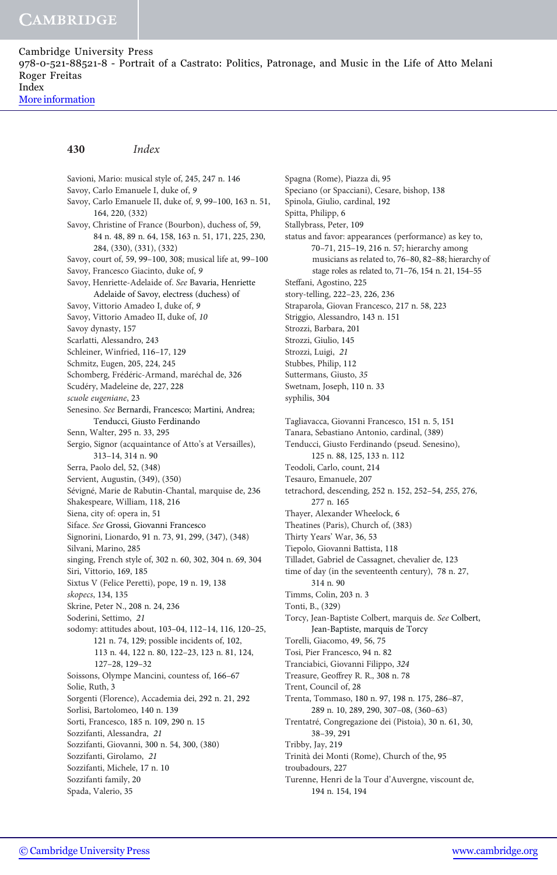[More information](http://www.cambridge.org/9780521885218)

#### 430 Index

Savioni, Mario: musical style of, 245, 247 n. 146 Savoy, Carlo Emanuele I, duke of, 9 Savoy, Carlo Emanuele II, duke of, 9, 99–100, 163 n. 51, 164, 220, (332) Savoy, Christine of France (Bourbon), duchess of, 59, 84 n. 48, 89 n. 64, 158, 163 n. 51, 171, 225, 230, 284, (330), (331), (332) Savoy, court of, 59, 99–100, 308; musical life at, 99–100 Savoy, Francesco Giacinto, duke of, 9 Savoy, Henriette-Adelaide of. See Bavaria, Henriette Adelaide of Savoy, electress (duchess) of Savoy, Vittorio Amadeo I, duke of, 9 Savoy, Vittorio Amadeo II, duke of, 10 Savoy dynasty, 157 Scarlatti, Alessandro, 243 Schleiner, Winfried, 116–17, 129 Schmitz, Eugen, 205, 224, 245 Schomberg, Frédéric-Armand, maréchal de, 326 Scudéry, Madeleine de, 227, 228 scuole eugeniane, 23 Senesino. See Bernardi, Francesco; Martini, Andrea; Tenducci, Giusto Ferdinando Senn, Walter, 295 n. 33, 295 Sergio, Signor (acquaintance of Atto's at Versailles), 313–14, 314 n. 90 Serra, Paolo del, 52, (348) Servient, Augustin, (349), (350) Sévigné, Marie de Rabutin-Chantal, marquise de, 236 Shakespeare, William, 118, 216 Siena, city of: opera in, 51 Siface. See Grossi, Giovanni Francesco Signorini, Lionardo, 91 n. 73, 91, 299, (347), (348) Silvani, Marino, 285 singing, French style of, 302 n. 60, 302, 304 n. 69, 304 Siri, Vittorio, 169, 185 Sixtus V (Felice Peretti), pope, 19 n. 19, 138 skopecs, 134, 135 Skrine, Peter N., 208 n. 24, 236 Soderini, Settimo, 21 sodomy: attitudes about, 103–04, 112–14, 116, 120–25, 121 n. 74, 129; possible incidents of, 102, 113 n. 44, 122 n. 80, 122–23, 123 n. 81, 124, 127–28, 129–32 Soissons, Olympe Mancini, countess of, 166–67 Solie, Ruth, 3 Sorgenti (Florence), Accademia dei, 292 n. 21, 292 Sorlisi, Bartolomeo, 140 n. 139 Sorti, Francesco, 185 n. 109, 290 n. 15 Sozzifanti, Alessandra, 21 Sozzifanti, Giovanni, 300 n. 54, 300, (380) Sozzifanti, Girolamo, 21 Sozzifanti, Michele, 17 n. 10 Sozzifanti family, 20 Spada, Valerio, 35

Spagna (Rome), Piazza di, 95 Speciano (or Spacciani), Cesare, bishop, 138 Spinola, Giulio, cardinal, 192 Spitta, Philipp, 6 Stallybrass, Peter, 109 status and favor: appearances (performance) as key to, 70–71, 215–19, 216 n. 57; hierarchy among musicians as related to, 76–80, 82–88; hierarchy of stage roles as related to, 71–76, 154 n. 21, 154–55 Steffani, Agostino, 225 story-telling, 222–23, 226, 236 Straparola, Giovan Francesco, 217 n. 58, 223 Striggio, Alessandro, 143 n. 151 Strozzi, Barbara, 201 Strozzi, Giulio, 145 Strozzi, Luigi, 21 Stubbes, Philip, 112 Suttermans, Giusto, 35 Swetnam, Joseph, 110 n. 33 syphilis, 304 Tagliavacca, Giovanni Francesco, 151 n. 5, 151 Tanara, Sebastiano Antonio, cardinal, (389) Tenducci, Giusto Ferdinando (pseud. Senesino), 125 n. 88, 125, 133 n. 112 Teodoli, Carlo, count, 214 Tesauro, Emanuele, 207 tetrachord, descending, 252 n. 152, 252–54, 255, 276, 277 n. 165 Thayer, Alexander Wheelock, 6 Theatines (Paris), Church of, (383) Thirty Years' War, 36, 53 Tiepolo, Giovanni Battista, 118 Tilladet, Gabriel de Cassagnet, chevalier de, 123 time of day (in the seventeenth century), 78 n. 27, 314 n. 90 Timms, Colin, 203 n. 3 Tonti, B., (329) Torcy, Jean-Baptiste Colbert, marquis de. See Colbert, Jean-Baptiste, marquis de Torcy Torelli, Giacomo, 49, 56, 75 Tosi, Pier Francesco, 94 n. 82 Tranciabici, Giovanni Filippo, 324 Treasure, Geoffrey R. R., 308 n. 78 Trent, Council of, 28 Trenta, Tommaso, 180 n. 97, 198 n. 175, 286–87, 289 n. 10, 289, 290, 307–08, (360–63) Trentatré, Congregazione dei (Pistoia), 30 n. 61, 30, 38–39, 291 Tribby, Jay, 219 Trinità dei Monti (Rome), Church of the, 95 troubadours, 227 Turenne, Henri de la Tour d'Auvergne, viscount de, 194 n. 154, 194